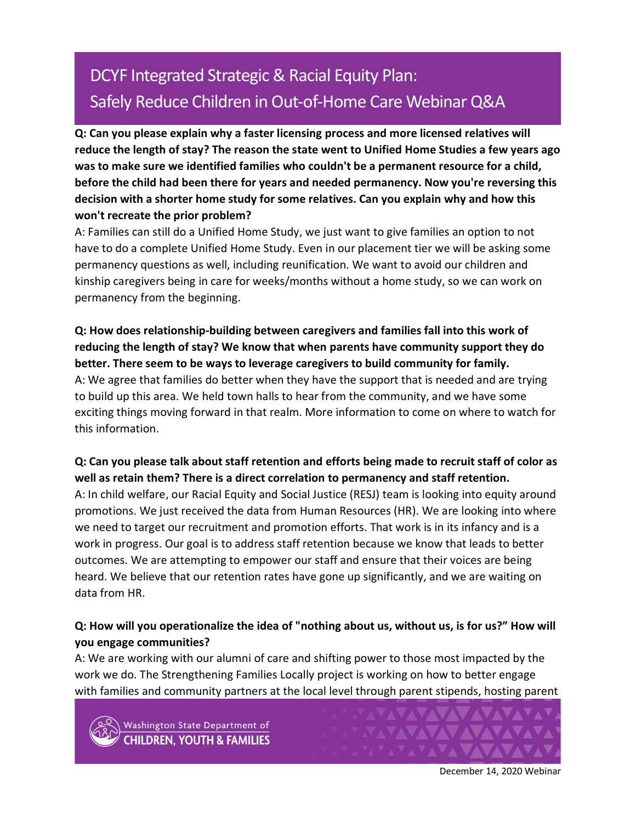# DCYF Integrated Strategic & Racial Equity Plan: Safely Reduce Children in Out-of-Home Care Webinar Q&A

**Q: Can you please explain why a faster licensing process and more licensed relatives will reduce the length of stay? The reason the state went to Unified Home Studies a few years ago was to make sure we identified families who couldn't be a permanent resource for a child, before the child had been there for years and needed permanency. Now you're reversing this decision with a shorter home study for some relatives. Can you explain why and how this won't recreate the prior problem?**

A: Families can still do a Unified Home Study, we just want to give families an option to not have to do a complete Unified Home Study. Even in our placement tier we will be asking some permanency questions as well, including reunification. We want to avoid our children and kinship caregivers being in care for weeks/months without a home study, so we can work on permanency from the beginning.

**Q: How does relationship-building between caregivers and families fall into this work of reducing the length of stay? We know that when parents have community support they do better. There seem to be ways to leverage caregivers to build community for family.** A: We agree that families do better when they have the support that is needed and are trying to build up this area. We held town halls to hear from the community, and we have some exciting things moving forward in that realm. More information to come on where to watch for this information.

## **Q: Can you please talk about staff retention and efforts being made to recruit staff of color as well as retain them? There is a direct correlation to permanency and staff retention.**

A: In child welfare, our Racial Equity and Social Justice (RESJ) team is looking into equity around promotions. We just received the data from Human Resources (HR). We are looking into where we need to target our recruitment and promotion efforts. That work is in its infancy and is a work in progress. Our goal is to address staff retention because we know that leads to better outcomes. We are attempting to empower our staff and ensure that their voices are being heard. We believe that our retention rates have gone up significantly, and we are waiting on data from HR.

# **Q: How will you operationalize the idea of "nothing about us, without us, is for us?" How will you engage communities?**

A: We are working with our alumni of care and shifting power to those most impacted by the work we do. The Strengthening Families Locally project is working on how to better engage with families and community partners at the local level through parent stipends, hosting parent



Washington State Department of **HILDREN, YOUTH & FAMILIES** 

December 14, 2020 Webinar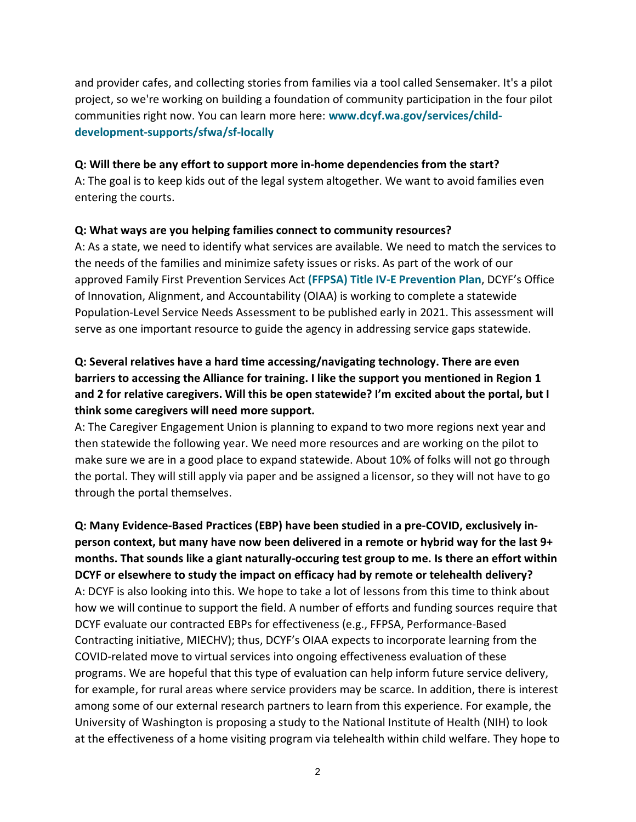and provider cafes, and collecting stories from families via a tool called Sensemaker. It's a pilot project, so we're working on building a foundation of community participation in the four pilot communities right now. You can learn more here: **[www.dcyf.wa.gov/services/child](http://www.dcyf.wa.gov/services/child-development-supports/sfwa/sf-locally)[development-supports/sfwa/sf-locally](http://www.dcyf.wa.gov/services/child-development-supports/sfwa/sf-locally)**

#### **Q: Will there be any effort to support more in-home dependencies from the start?**

A: The goal is to keep kids out of the legal system altogether. We want to avoid families even entering the courts.

#### **Q: What ways are you helping families connect to community resources?**

A: As a state, we need to identify what services are available. We need to match the services to the needs of the families and minimize safety issues or risks. As part of the work of our approved Family First Prevention Services Act **(FFPSA) [Title IV-E Prevention Plan](https://www.dcyf.wa.gov/practice/practice-improvement/ffpsa/prevention)**, DCYF's Office of Innovation, Alignment, and Accountability (OIAA) is working to complete a statewide Population-Level Service Needs Assessment to be published early in 2021. This assessment will serve as one important resource to guide the agency in addressing service gaps statewide.

# **Q: Several relatives have a hard time accessing/navigating technology. There are even barriers to accessing the Alliance for training. I like the support you mentioned in Region 1 and 2 for relative caregivers. Will this be open statewide? I'm excited about the portal, but I think some caregivers will need more support.**

A: The Caregiver Engagement Union is planning to expand to two more regions next year and then statewide the following year. We need more resources and are working on the pilot to make sure we are in a good place to expand statewide. About 10% of folks will not go through the portal. They will still apply via paper and be assigned a licensor, so they will not have to go through the portal themselves.

**Q: Many Evidence-Based Practices (EBP) have been studied in a pre-COVID, exclusively inperson context, but many have now been delivered in a remote or hybrid way for the last 9+ months. That sounds like a giant naturally-occuring test group to me. Is there an effort within DCYF or elsewhere to study the impact on efficacy had by remote or telehealth delivery?** A: DCYF is also looking into this. We hope to take a lot of lessons from this time to think about how we will continue to support the field. A number of efforts and funding sources require that DCYF evaluate our contracted EBPs for effectiveness (e.g., FFPSA, Performance-Based Contracting initiative, MIECHV); thus, DCYF's OIAA expects to incorporate learning from the COVID-related move to virtual services into ongoing effectiveness evaluation of these programs. We are hopeful that this type of evaluation can help inform future service delivery, for example, for rural areas where service providers may be scarce. In addition, there is interest among some of our external research partners to learn from this experience. For example, the University of Washington is proposing a study to the National Institute of Health (NIH) to look at the effectiveness of a home visiting program via telehealth within child welfare. They hope to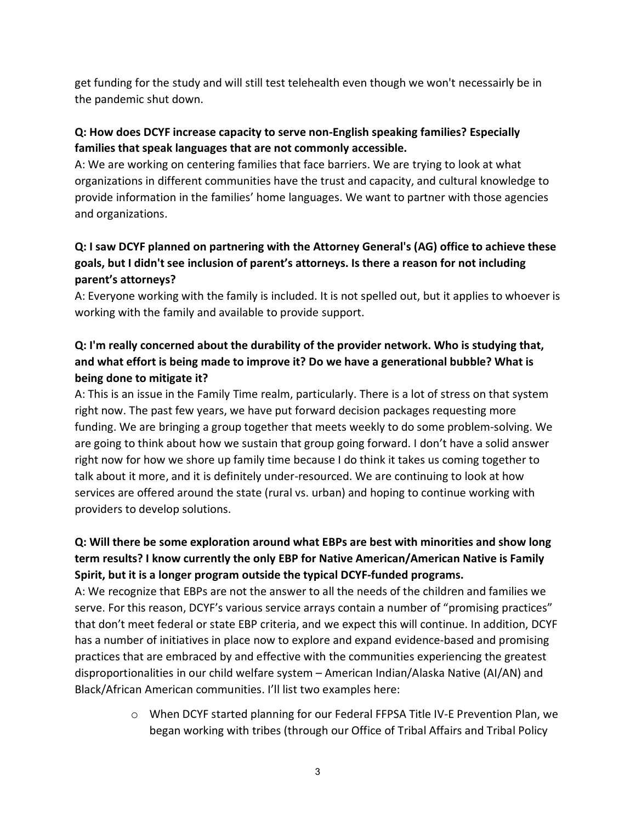get funding for the study and will still test telehealth even though we won't necessairly be in the pandemic shut down.

## **Q: How does DCYF increase capacity to serve non-English speaking families? Especially families that speak languages that are not commonly accessible.**

A: We are working on centering families that face barriers. We are trying to look at what organizations in different communities have the trust and capacity, and cultural knowledge to provide information in the families' home languages. We want to partner with those agencies and organizations.

# **Q: I saw DCYF planned on partnering with the Attorney General's (AG) office to achieve these goals, but I didn't see inclusion of parent's attorneys. Is there a reason for not including parent's attorneys?**

A: Everyone working with the family is included. It is not spelled out, but it applies to whoever is working with the family and available to provide support.

# **Q: I'm really concerned about the durability of the provider network. Who is studying that, and what effort is being made to improve it? Do we have a generational bubble? What is being done to mitigate it?**

A: This is an issue in the Family Time realm, particularly. There is a lot of stress on that system right now. The past few years, we have put forward decision packages requesting more funding. We are bringing a group together that meets weekly to do some problem-solving. We are going to think about how we sustain that group going forward. I don't have a solid answer right now for how we shore up family time because I do think it takes us coming together to talk about it more, and it is definitely under-resourced. We are continuing to look at how services are offered around the state (rural vs. urban) and hoping to continue working with providers to develop solutions.

# **Q: Will there be some exploration around what EBPs are best with minorities and show long term results? I know currently the only EBP for Native American/American Native is Family Spirit, but it is a longer program outside the typical DCYF-funded programs.**

A: We recognize that EBPs are not the answer to all the needs of the children and families we serve. For this reason, DCYF's various service arrays contain a number of "promising practices" that don't meet federal or state EBP criteria, and we expect this will continue. In addition, DCYF has a number of initiatives in place now to explore and expand evidence-based and promising practices that are embraced by and effective with the communities experiencing the greatest disproportionalities in our child welfare system – American Indian/Alaska Native (AI/AN) and Black/African American communities. I'll list two examples here:

> o When DCYF started planning for our Federal FFPSA Title IV-E Prevention Plan, we began working with tribes (through our Office of Tribal Affairs and Tribal Policy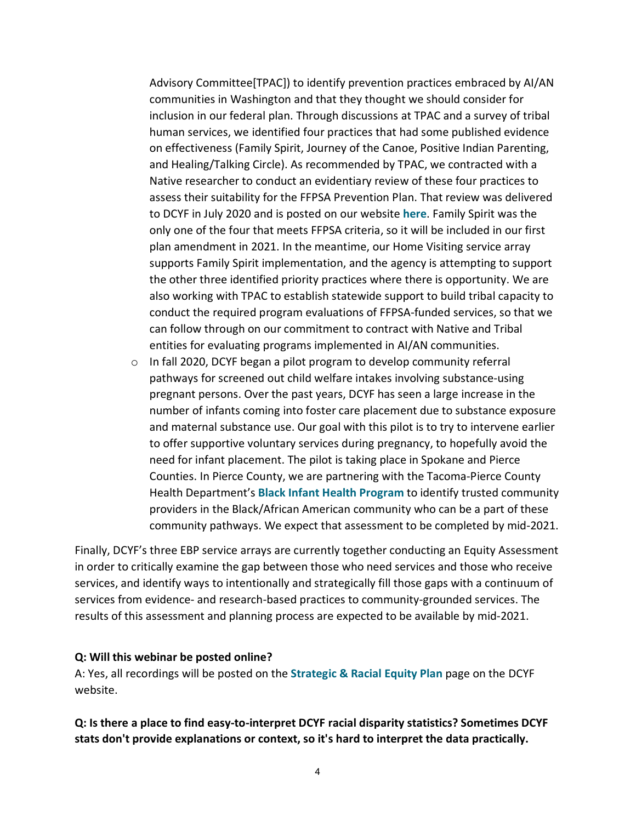Advisory Committee[TPAC]) to identify prevention practices embraced by AI/AN communities in Washington and that they thought we should consider for inclusion in our federal plan. Through discussions at TPAC and a survey of tribal human services, we identified four practices that had some published evidence on effectiveness (Family Spirit, Journey of the Canoe, Positive Indian Parenting, and Healing/Talking Circle). As recommended by TPAC, we contracted with a Native researcher to conduct an evidentiary review of these four practices to assess their suitability for the FFPSA Prevention Plan. That review was delivered to DCYF in July 2020 and is posted on our website **[here](https://www.dcyf.wa.gov/sites/default/files/pdf/reports/TribalCWPrevention2020.pdf)**. Family Spirit was the only one of the four that meets FFPSA criteria, so it will be included in our first plan amendment in 2021. In the meantime, our Home Visiting service array supports Family Spirit implementation, and the agency is attempting to support the other three identified priority practices where there is opportunity. We are also working with TPAC to establish statewide support to build tribal capacity to conduct the required program evaluations of FFPSA-funded services, so that we can follow through on our commitment to contract with Native and Tribal entities for evaluating programs implemented in AI/AN communities.

o In fall 2020, DCYF began a pilot program to develop community referral pathways for screened out child welfare intakes involving substance-using pregnant persons. Over the past years, DCYF has seen a large increase in the number of infants coming into foster care placement due to substance exposure and maternal substance use. Our goal with this pilot is to try to intervene earlier to offer supportive voluntary services during pregnancy, to hopefully avoid the need for infant placement. The pilot is taking place in Spokane and Pierce Counties. In Pierce County, we are partnering with the Tacoma-Pierce County Health Department's **[Black Infant Health Program](https://www.tpchd.org/healthy-people/family-health/black-infant-health-health-ministers)** to identify trusted community providers in the Black/African American community who can be a part of these community pathways. We expect that assessment to be completed by mid-2021.

Finally, DCYF's three EBP service arrays are currently together conducting an Equity Assessment in order to critically examine the gap between those who need services and those who receive services, and identify ways to intentionally and strategically fill those gaps with a continuum of services from evidence- and research-based practices to community-grounded services. The results of this assessment and planning process are expected to be available by mid-2021.

#### **Q: Will this webinar be posted online?**

A: Yes, all recordings will be posted on the **[Strategic & Racial Equity Plan](https://www.dcyf.wa.gov/practice/strategic-plan)** page on the DCYF website.

#### **Q: Is there a place to find easy-to-interpret DCYF racial disparity statistics? Sometimes DCYF stats don't provide explanations or context, so it's hard to interpret the data practically.**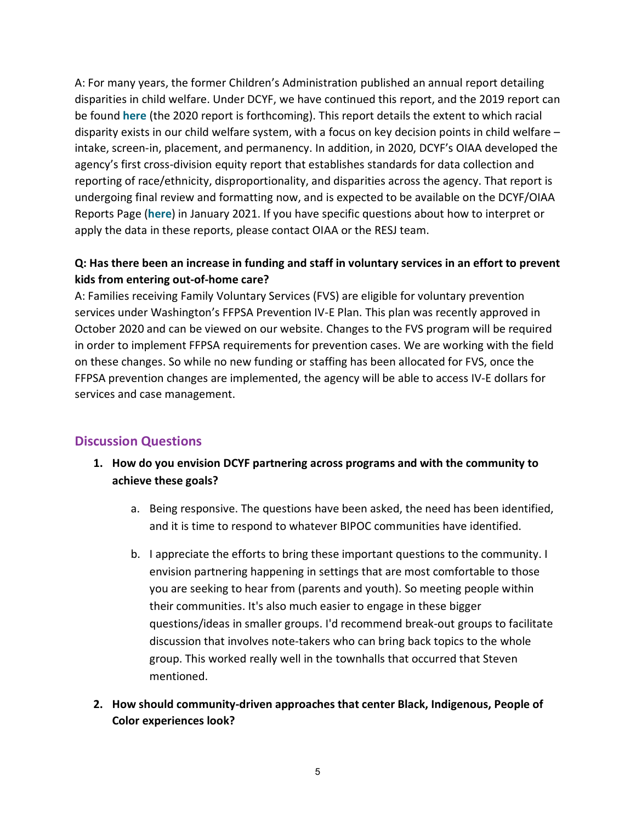A: For many years, the former Children's Administration published an annual report detailing disparities in child welfare. Under DCYF, we have continued this report, and the 2019 report can be found **[here](https://www.dcyf.wa.gov/sites/default/files/pdf/reports/CWRacialDisparityIndices2019.pdf)** (the 2020 report is forthcoming). This report details the extent to which racial disparity exists in our child welfare system, with a focus on key decision points in child welfare – intake, screen-in, placement, and permanency. In addition, in 2020, DCYF's OIAA developed the agency's first cross-division equity report that establishes standards for data collection and reporting of race/ethnicity, disproportionality, and disparities across the agency. That report is undergoing final review and formatting now, and is expected to be available on the DCYF/OIAA Reports Page (**[here](https://www.dcyf.wa.gov/practice/oiaa/reports)**) in January 2021. If you have specific questions about how to interpret or apply the data in these reports, please contact OIAA or the RESJ team.

## **Q: Has there been an increase in funding and staff in voluntary services in an effort to prevent kids from entering out-of-home care?**

A: Families receiving Family Voluntary Services (FVS) are eligible for voluntary prevention services under Washington's FFPSA Prevention IV-E Plan. This plan was recently approved in October 2020 and can be viewed on our website. Changes to the FVS program will be required in order to implement FFPSA requirements for prevention cases. We are working with the field on these changes. So while no new funding or staffing has been allocated for FVS, once the FFPSA prevention changes are implemented, the agency will be able to access IV-E dollars for services and case management.

## **Discussion Questions**

- **1. How do you envision DCYF partnering across programs and with the community to achieve these goals?**
	- a. Being responsive. The questions have been asked, the need has been identified, and it is time to respond to whatever BIPOC communities have identified.
	- b. I appreciate the efforts to bring these important questions to the community. I envision partnering happening in settings that are most comfortable to those you are seeking to hear from (parents and youth). So meeting people within their communities. It's also much easier to engage in these bigger questions/ideas in smaller groups. I'd recommend break-out groups to facilitate discussion that involves note-takers who can bring back topics to the whole group. This worked really well in the townhalls that occurred that Steven mentioned.
- **2. How should community-driven approaches that center Black, Indigenous, People of Color experiences look?**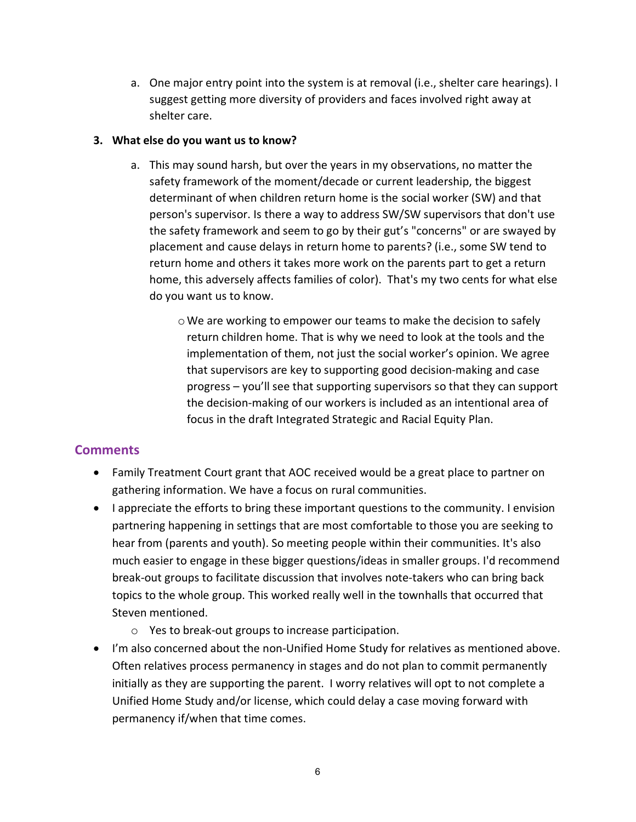a. One major entry point into the system is at removal (i.e., shelter care hearings). I suggest getting more diversity of providers and faces involved right away at shelter care.

#### **3. What else do you want us to know?**

- a. This may sound harsh, but over the years in my observations, no matter the safety framework of the moment/decade or current leadership, the biggest determinant of when children return home is the social worker (SW) and that person's supervisor. Is there a way to address SW/SW supervisors that don't use the safety framework and seem to go by their gut's "concerns" or are swayed by placement and cause delays in return home to parents? (i.e., some SW tend to return home and others it takes more work on the parents part to get a return home, this adversely affects families of color). That's my two cents for what else do you want us to know.
	- $\circ$  We are working to empower our teams to make the decision to safely return children home. That is why we need to look at the tools and the implementation of them, not just the social worker's opinion. We agree that supervisors are key to supporting good decision-making and case progress – you'll see that supporting supervisors so that they can support the decision-making of our workers is included as an intentional area of focus in the draft Integrated Strategic and Racial Equity Plan.

## **Comments**

- Family Treatment Court grant that AOC received would be a great place to partner on gathering information. We have a focus on rural communities.
- I appreciate the efforts to bring these important questions to the community. I envision partnering happening in settings that are most comfortable to those you are seeking to hear from (parents and youth). So meeting people within their communities. It's also much easier to engage in these bigger questions/ideas in smaller groups. I'd recommend break-out groups to facilitate discussion that involves note-takers who can bring back topics to the whole group. This worked really well in the townhalls that occurred that Steven mentioned.
	- o Yes to break-out groups to increase participation.
- I'm also concerned about the non-Unified Home Study for relatives as mentioned above. Often relatives process permanency in stages and do not plan to commit permanently initially as they are supporting the parent. I worry relatives will opt to not complete a Unified Home Study and/or license, which could delay a case moving forward with permanency if/when that time comes.